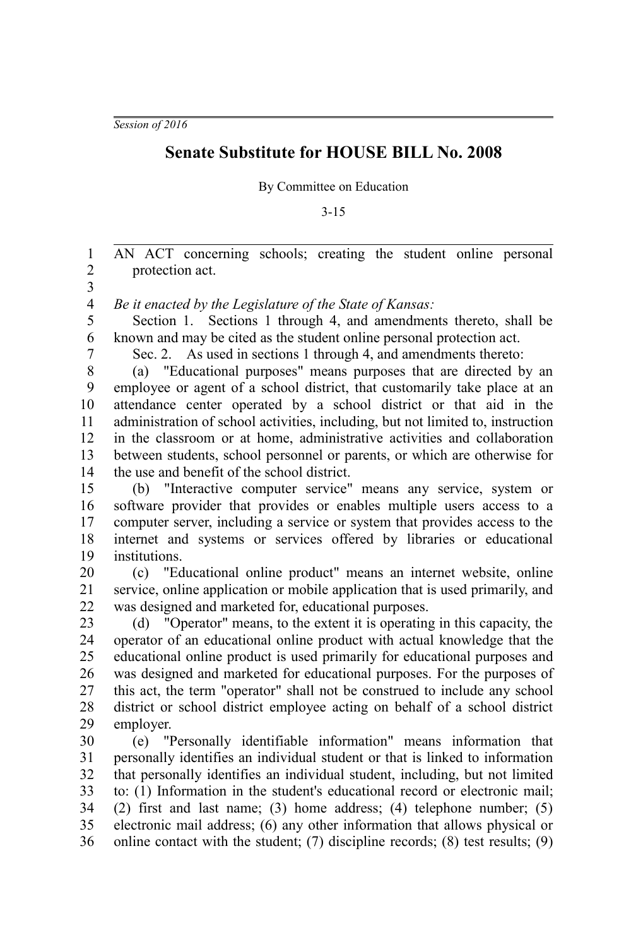*Session of 2016*

## **Senate Substitute for HOUSE BILL No. 2008**

By Committee on Education

3-15

AN ACT concerning schools; creating the student online personal protection act. 1 2

3

*Be it enacted by the Legislature of the State of Kansas:* 4

Section 1. Sections 1 through 4, and amendments thereto, shall be known and may be cited as the student online personal protection act. 5 6

7

Sec. 2. As used in sections 1 through 4, and amendments thereto:

(a) "Educational purposes" means purposes that are directed by an employee or agent of a school district, that customarily take place at an attendance center operated by a school district or that aid in the administration of school activities, including, but not limited to, instruction in the classroom or at home, administrative activities and collaboration between students, school personnel or parents, or which are otherwise for the use and benefit of the school district. 8 9 10 11 12 13 14

(b) "Interactive computer service" means any service, system or software provider that provides or enables multiple users access to a computer server, including a service or system that provides access to the internet and systems or services offered by libraries or educational institutions. 15 16 17 18 19

(c) "Educational online product" means an internet website, online service, online application or mobile application that is used primarily, and was designed and marketed for, educational purposes. 20 21 22

(d) "Operator" means, to the extent it is operating in this capacity, the operator of an educational online product with actual knowledge that the educational online product is used primarily for educational purposes and was designed and marketed for educational purposes. For the purposes of this act, the term "operator" shall not be construed to include any school district or school district employee acting on behalf of a school district employer. 23 24 25 26 27 28 29

(e) "Personally identifiable information" means information that personally identifies an individual student or that is linked to information that personally identifies an individual student, including, but not limited to: (1) Information in the student's educational record or electronic mail; (2) first and last name; (3) home address; (4) telephone number; (5) electronic mail address; (6) any other information that allows physical or online contact with the student; (7) discipline records; (8) test results; (9) 30 31 32 33 34 35 36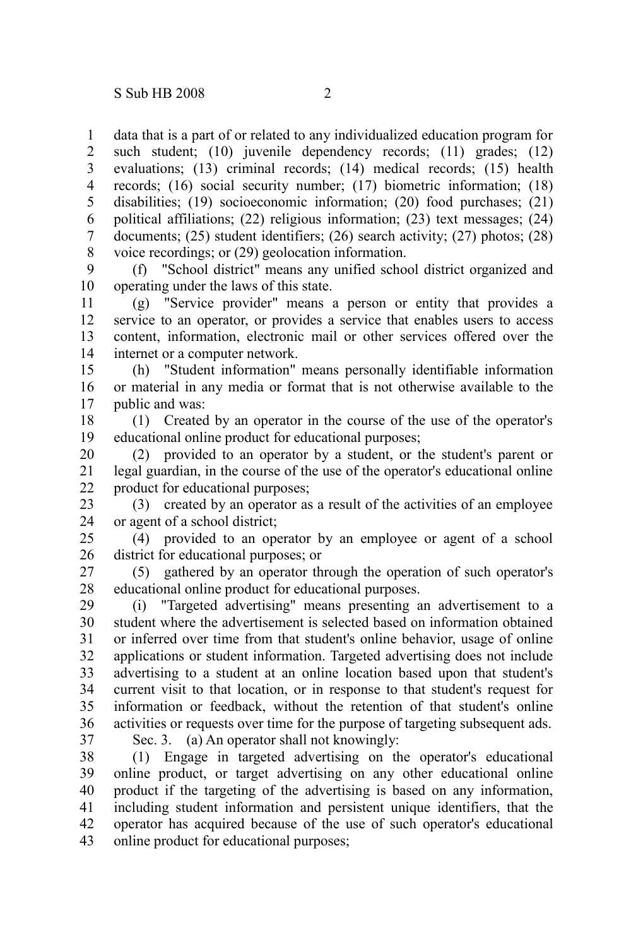data that is a part of or related to any individualized education program for such student; (10) juvenile dependency records; (11) grades; (12) evaluations; (13) criminal records; (14) medical records; (15) health records; (16) social security number; (17) biometric information; (18) disabilities; (19) socioeconomic information; (20) food purchases; (21) political affiliations; (22) religious information; (23) text messages; (24) documents; (25) student identifiers; (26) search activity; (27) photos; (28) voice recordings; or (29) geolocation information. 1 2 3 4 5 6 7 8

(f) "School district" means any unified school district organized and operating under the laws of this state. 9 10

(g) "Service provider" means a person or entity that provides a service to an operator, or provides a service that enables users to access content, information, electronic mail or other services offered over the internet or a computer network. 11 12 13 14

(h) "Student information" means personally identifiable information or material in any media or format that is not otherwise available to the public and was: 15 16 17

(1) Created by an operator in the course of the use of the operator's educational online product for educational purposes; 18 19

(2) provided to an operator by a student, or the student's parent or legal guardian, in the course of the use of the operator's educational online product for educational purposes; 20 21 22

(3) created by an operator as a result of the activities of an employee or agent of a school district; 23 24

(4) provided to an operator by an employee or agent of a school district for educational purposes; or 25 26

(5) gathered by an operator through the operation of such operator's educational online product for educational purposes. 27 28

(i) "Targeted advertising" means presenting an advertisement to a student where the advertisement is selected based on information obtained or inferred over time from that student's online behavior, usage of online applications or student information. Targeted advertising does not include advertising to a student at an online location based upon that student's current visit to that location, or in response to that student's request for information or feedback, without the retention of that student's online activities or requests over time for the purpose of targeting subsequent ads. 29 30 31 32 33 34 35 36

37

Sec. 3. (a) An operator shall not knowingly:

(1) Engage in targeted advertising on the operator's educational online product, or target advertising on any other educational online product if the targeting of the advertising is based on any information, including student information and persistent unique identifiers, that the operator has acquired because of the use of such operator's educational online product for educational purposes; 38 39 40 41 42 43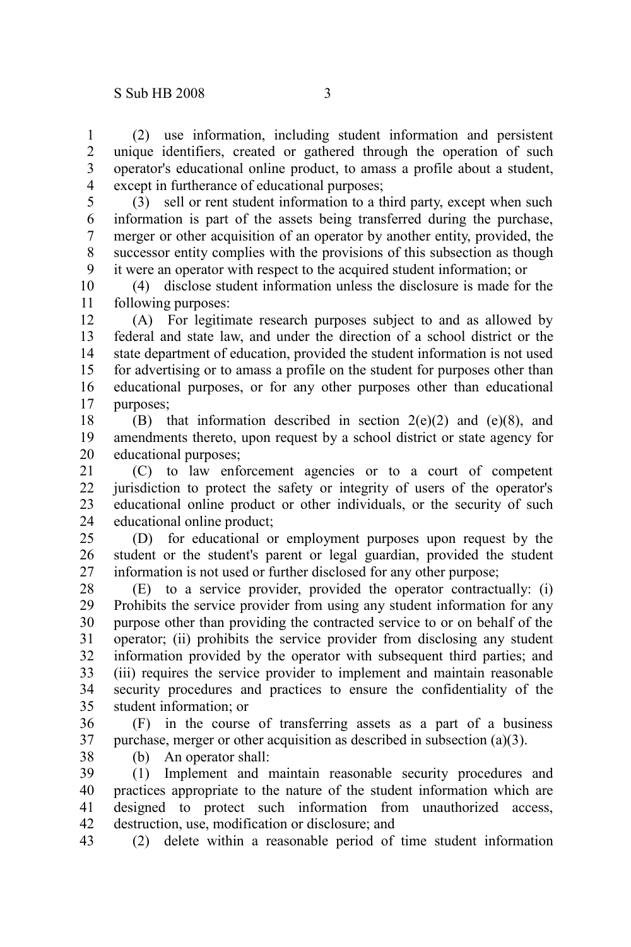(2) use information, including student information and persistent unique identifiers, created or gathered through the operation of such operator's educational online product, to amass a profile about a student, except in furtherance of educational purposes; 1 2 3 4

(3) sell or rent student information to a third party, except when such information is part of the assets being transferred during the purchase, merger or other acquisition of an operator by another entity, provided, the successor entity complies with the provisions of this subsection as though it were an operator with respect to the acquired student information; or 5 6 7 8 9

(4) disclose student information unless the disclosure is made for the following purposes: 10 11

(A) For legitimate research purposes subject to and as allowed by federal and state law, and under the direction of a school district or the state department of education, provided the student information is not used for advertising or to amass a profile on the student for purposes other than educational purposes, or for any other purposes other than educational purposes; 12 13 14 15 16 17

(B) that information described in section  $2(e)(2)$  and  $(e)(8)$ , and amendments thereto, upon request by a school district or state agency for educational purposes; 18 19 20

(C) to law enforcement agencies or to a court of competent jurisdiction to protect the safety or integrity of users of the operator's educational online product or other individuals, or the security of such educational online product; 21 22 23 24

(D) for educational or employment purposes upon request by the student or the student's parent or legal guardian, provided the student information is not used or further disclosed for any other purpose; 25 26 27

(E) to a service provider, provided the operator contractually: (i) Prohibits the service provider from using any student information for any purpose other than providing the contracted service to or on behalf of the operator; (ii) prohibits the service provider from disclosing any student information provided by the operator with subsequent third parties; and (iii) requires the service provider to implement and maintain reasonable security procedures and practices to ensure the confidentiality of the student information; or 28 29 30 31 32 33 34 35

(F) in the course of transferring assets as a part of a business purchase, merger or other acquisition as described in subsection (a)(3). 36 37

38

(b) An operator shall:

(1) Implement and maintain reasonable security procedures and practices appropriate to the nature of the student information which are designed to protect such information from unauthorized access, destruction, use, modification or disclosure; and 39 40 41 42

(2) delete within a reasonable period of time student information 43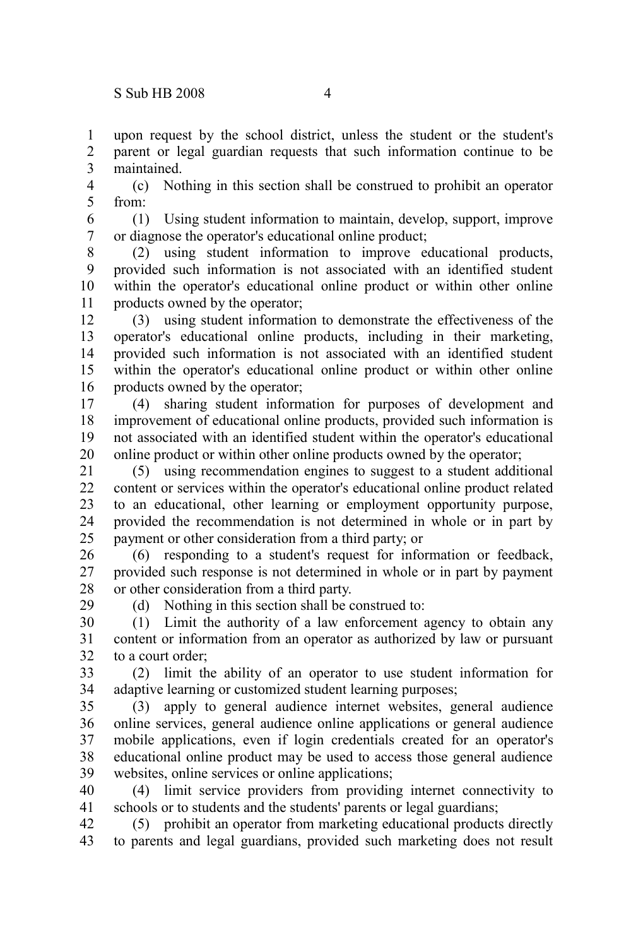29

upon request by the school district, unless the student or the student's parent or legal guardian requests that such information continue to be maintained. 1 2 3

(c) Nothing in this section shall be construed to prohibit an operator from: 4 5

(1) Using student information to maintain, develop, support, improve or diagnose the operator's educational online product; 6 7

(2) using student information to improve educational products, provided such information is not associated with an identified student within the operator's educational online product or within other online products owned by the operator; 8 9 10 11

(3) using student information to demonstrate the effectiveness of the operator's educational online products, including in their marketing, provided such information is not associated with an identified student within the operator's educational online product or within other online products owned by the operator; 12 13 14 15 16

(4) sharing student information for purposes of development and improvement of educational online products, provided such information is not associated with an identified student within the operator's educational online product or within other online products owned by the operator; 17 18 19 20

(5) using recommendation engines to suggest to a student additional content or services within the operator's educational online product related to an educational, other learning or employment opportunity purpose, provided the recommendation is not determined in whole or in part by payment or other consideration from a third party; or 21  $22$ 23 24 25

(6) responding to a student's request for information or feedback, provided such response is not determined in whole or in part by payment or other consideration from a third party. 26 27 28

(d) Nothing in this section shall be construed to:

(1) Limit the authority of a law enforcement agency to obtain any content or information from an operator as authorized by law or pursuant to a court order; 30 31 32

(2) limit the ability of an operator to use student information for adaptive learning or customized student learning purposes; 33 34

(3) apply to general audience internet websites, general audience online services, general audience online applications or general audience mobile applications, even if login credentials created for an operator's educational online product may be used to access those general audience websites, online services or online applications; 35 36 37 38 39

(4) limit service providers from providing internet connectivity to schools or to students and the students' parents or legal guardians; 40 41

(5) prohibit an operator from marketing educational products directly to parents and legal guardians, provided such marketing does not result 42 43